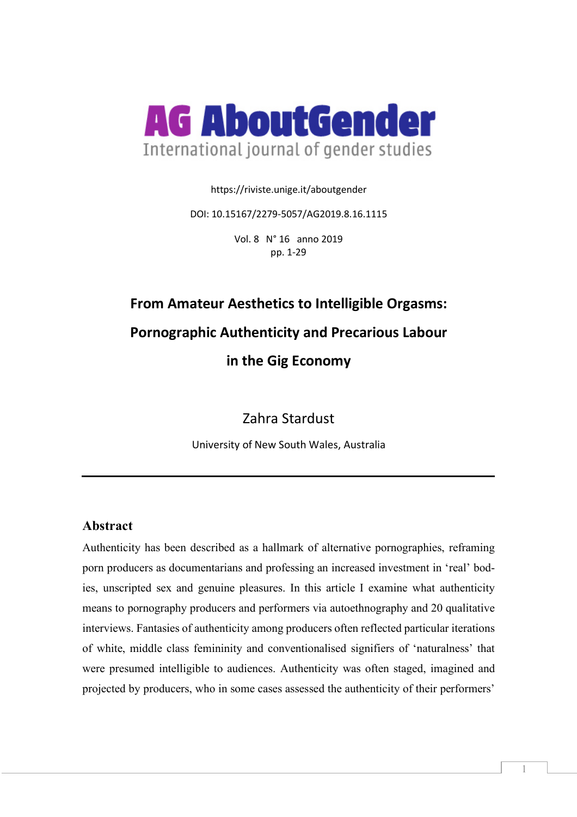

https://riviste.unige.it/aboutgender

DOI: 10.15167/2279-5057/AG2019.8.16.1115

Vol. 8 N° 16 anno 2019 pp. 1-29

# **From Amateur Aesthetics to Intelligible Orgasms: Pornographic Authenticity and Precarious Labour in the Gig Economy**

Zahra Stardust

University of New South Wales, Australia

# **Abstract**

Authenticity has been described as a hallmark of alternative pornographies, reframing porn producers as documentarians and professing an increased investment in 'real' bodies, unscripted sex and genuine pleasures. In this article I examine what authenticity means to pornography producers and performers via autoethnography and 20 qualitative interviews. Fantasies of authenticity among producers often reflected particular iterations of white, middle class femininity and conventionalised signifiers of 'naturalness' that were presumed intelligible to audiences. Authenticity was often staged, imagined and projected by producers, who in some cases assessed the authenticity of their performers'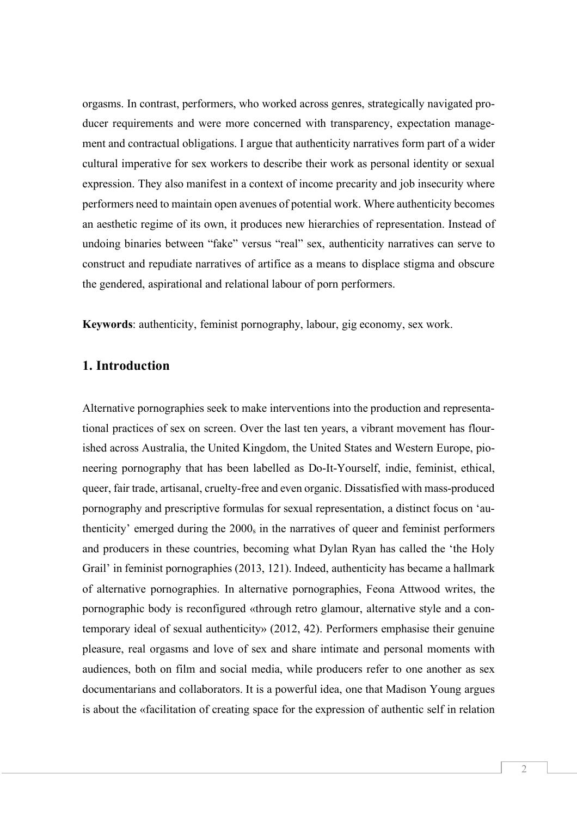orgasms. In contrast, performers, who worked across genres, strategically navigated producer requirements and were more concerned with transparency, expectation management and contractual obligations. I argue that authenticity narratives form part of a wider cultural imperative for sex workers to describe their work as personal identity or sexual expression. They also manifest in a context of income precarity and job insecurity where performers need to maintain open avenues of potential work. Where authenticity becomes an aesthetic regime of its own, it produces new hierarchies of representation. Instead of undoing binaries between "fake" versus "real" sex, authenticity narratives can serve to construct and repudiate narratives of artifice as a means to displace stigma and obscure the gendered, aspirational and relational labour of porn performers.

**Keywords**: authenticity, feminist pornography, labour, gig economy, sex work.

# **1. Introduction**

Alternative pornographies seek to make interventions into the production and representational practices of sex on screen. Over the last ten years, a vibrant movement has flourished across Australia, the United Kingdom, the United States and Western Europe, pioneering pornography that has been labelled as Do-It-Yourself, indie, feminist, ethical, queer, fair trade, artisanal, cruelty-free and even organic. Dissatisfied with mass-produced pornography and prescriptive formulas for sexual representation, a distinct focus on 'authenticity' emerged during the 2000<sub>s</sub> in the narratives of queer and feminist performers and producers in these countries, becoming what Dylan Ryan has called the 'the Holy Grail' in feminist pornographies (2013, 121). Indeed, authenticity has became a hallmark of alternative pornographies. In alternative pornographies, Feona Attwood writes, the pornographic body is reconfigured «through retro glamour, alternative style and a contemporary ideal of sexual authenticity» (2012, 42). Performers emphasise their genuine pleasure, real orgasms and love of sex and share intimate and personal moments with audiences, both on film and social media, while producers refer to one another as sex documentarians and collaborators. It is a powerful idea, one that Madison Young argues is about the «facilitation of creating space for the expression of authentic self in relation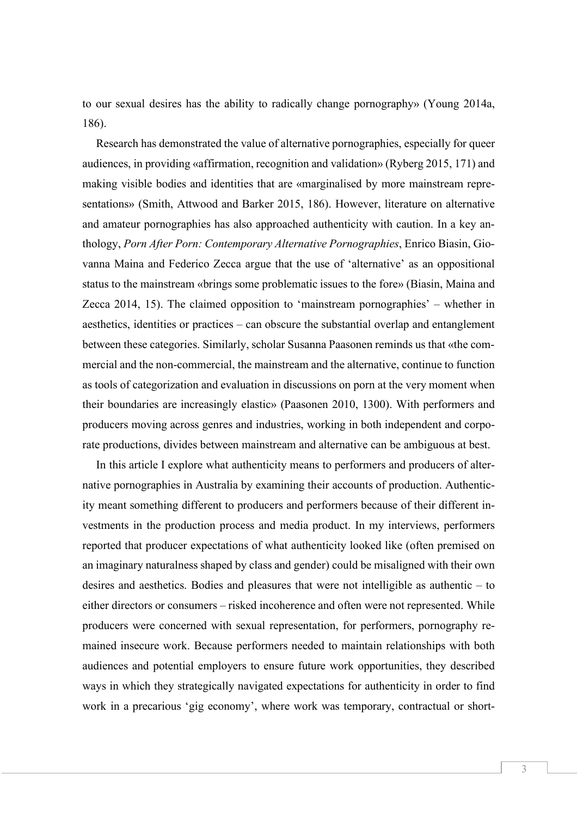to our sexual desires has the ability to radically change pornography» (Young 2014a, 186).

Research has demonstrated the value of alternative pornographies, especially for queer audiences, in providing «affirmation, recognition and validation» (Ryberg 2015, 171) and making visible bodies and identities that are «marginalised by more mainstream representations» (Smith, Attwood and Barker 2015, 186). However, literature on alternative and amateur pornographies has also approached authenticity with caution. In a key anthology, *Porn After Porn: Contemporary Alternative Pornographies*, Enrico Biasin, Giovanna Maina and Federico Zecca argue that the use of 'alternative' as an oppositional status to the mainstream «brings some problematic issues to the fore» (Biasin, Maina and Zecca 2014, 15). The claimed opposition to 'mainstream pornographies' – whether in aesthetics, identities or practices – can obscure the substantial overlap and entanglement between these categories. Similarly, scholar Susanna Paasonen reminds us that «the commercial and the non-commercial, the mainstream and the alternative, continue to function as tools of categorization and evaluation in discussions on porn at the very moment when their boundaries are increasingly elastic» (Paasonen 2010, 1300). With performers and producers moving across genres and industries, working in both independent and corporate productions, divides between mainstream and alternative can be ambiguous at best.

In this article I explore what authenticity means to performers and producers of alternative pornographies in Australia by examining their accounts of production. Authenticity meant something different to producers and performers because of their different investments in the production process and media product. In my interviews, performers reported that producer expectations of what authenticity looked like (often premised on an imaginary naturalness shaped by class and gender) could be misaligned with their own desires and aesthetics. Bodies and pleasures that were not intelligible as authentic – to either directors or consumers – risked incoherence and often were not represented. While producers were concerned with sexual representation, for performers, pornography remained insecure work. Because performers needed to maintain relationships with both audiences and potential employers to ensure future work opportunities, they described ways in which they strategically navigated expectations for authenticity in order to find work in a precarious 'gig economy', where work was temporary, contractual or short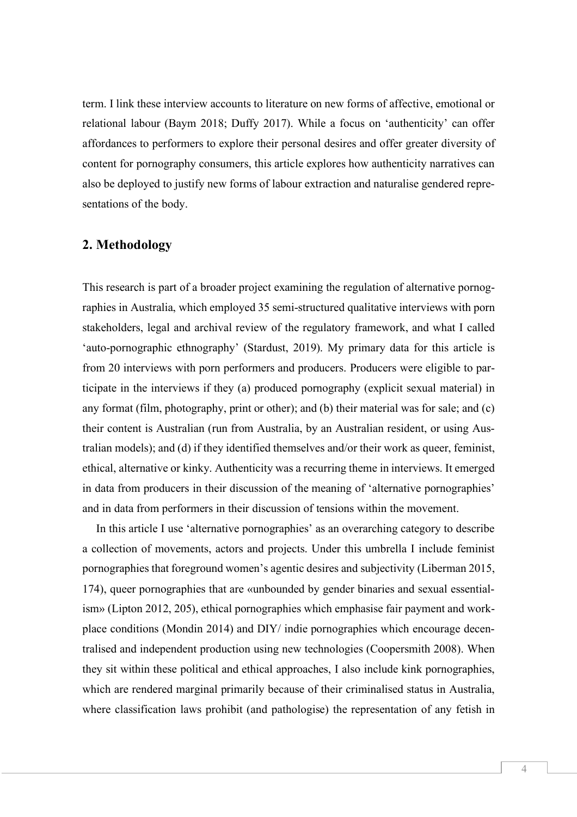term. I link these interview accounts to literature on new forms of affective, emotional or relational labour (Baym 2018; Duffy 2017). While a focus on 'authenticity' can offer affordances to performers to explore their personal desires and offer greater diversity of content for pornography consumers, this article explores how authenticity narratives can also be deployed to justify new forms of labour extraction and naturalise gendered representations of the body.

#### **2. Methodology**

This research is part of a broader project examining the regulation of alternative pornographies in Australia, which employed 35 semi-structured qualitative interviews with porn stakeholders, legal and archival review of the regulatory framework, and what I called 'auto-pornographic ethnography' (Stardust, 2019). My primary data for this article is from 20 interviews with porn performers and producers. Producers were eligible to participate in the interviews if they (a) produced pornography (explicit sexual material) in any format (film, photography, print or other); and (b) their material was for sale; and (c) their content is Australian (run from Australia, by an Australian resident, or using Australian models); and (d) if they identified themselves and/or their work as queer, feminist, ethical, alternative or kinky. Authenticity was a recurring theme in interviews. It emerged in data from producers in their discussion of the meaning of 'alternative pornographies' and in data from performers in their discussion of tensions within the movement.

In this article I use 'alternative pornographies' as an overarching category to describe a collection of movements, actors and projects. Under this umbrella I include feminist pornographies that foreground women's agentic desires and subjectivity (Liberman 2015, 174), queer pornographies that are «unbounded by gender binaries and sexual essentialism» (Lipton 2012, 205), ethical pornographies which emphasise fair payment and workplace conditions (Mondin 2014) and DIY/ indie pornographies which encourage decentralised and independent production using new technologies (Coopersmith 2008). When they sit within these political and ethical approaches, I also include kink pornographies, which are rendered marginal primarily because of their criminalised status in Australia, where classification laws prohibit (and pathologise) the representation of any fetish in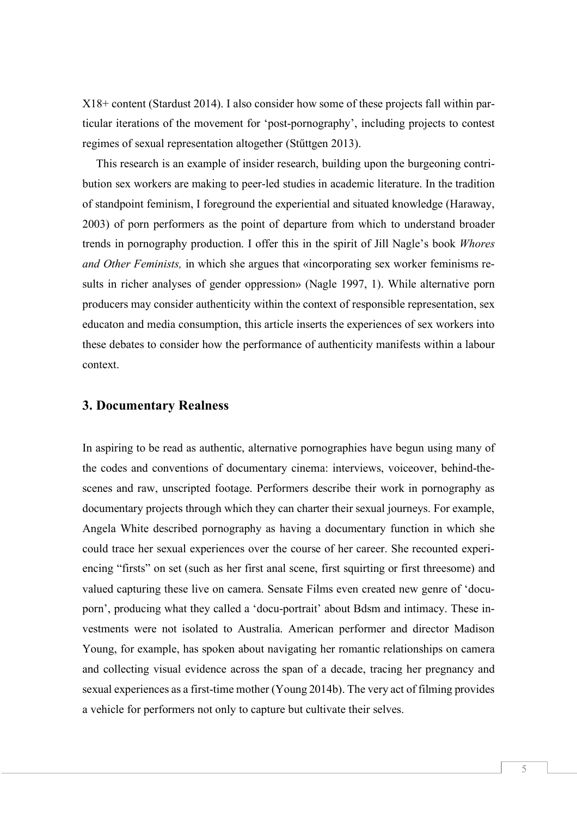X18+ content (Stardust 2014). I also consider how some of these projects fall within particular iterations of the movement for 'post-pornography', including projects to contest regimes of sexual representation altogether (Stűttgen 2013).

This research is an example of insider research, building upon the burgeoning contribution sex workers are making to peer-led studies in academic literature. In the tradition of standpoint feminism, I foreground the experiential and situated knowledge (Haraway, 2003) of porn performers as the point of departure from which to understand broader trends in pornography production. I offer this in the spirit of Jill Nagle's book *Whores and Other Feminists,* in which she argues that «incorporating sex worker feminisms results in richer analyses of gender oppression» (Nagle 1997, 1). While alternative porn producers may consider authenticity within the context of responsible representation, sex educaton and media consumption, this article inserts the experiences of sex workers into these debates to consider how the performance of authenticity manifests within a labour context.

#### **3. Documentary Realness**

In aspiring to be read as authentic, alternative pornographies have begun using many of the codes and conventions of documentary cinema: interviews, voiceover, behind-thescenes and raw, unscripted footage. Performers describe their work in pornography as documentary projects through which they can charter their sexual journeys. For example, Angela White described pornography as having a documentary function in which she could trace her sexual experiences over the course of her career. She recounted experiencing "firsts" on set (such as her first anal scene, first squirting or first threesome) and valued capturing these live on camera. Sensate Films even created new genre of 'docuporn', producing what they called a 'docu-portrait' about Bdsm and intimacy. These investments were not isolated to Australia. American performer and director Madison Young, for example, has spoken about navigating her romantic relationships on camera and collecting visual evidence across the span of a decade, tracing her pregnancy and sexual experiences as a first-time mother (Young 2014b). The very act of filming provides a vehicle for performers not only to capture but cultivate their selves.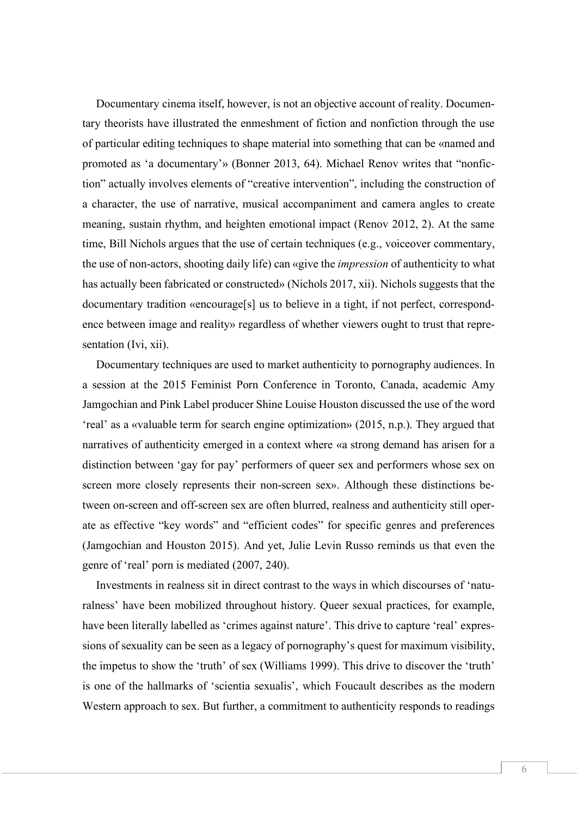Documentary cinema itself, however, is not an objective account of reality. Documentary theorists have illustrated the enmeshment of fiction and nonfiction through the use of particular editing techniques to shape material into something that can be «named and promoted as 'a documentary'» (Bonner 2013, 64). Michael Renov writes that "nonfiction" actually involves elements of "creative intervention", including the construction of a character, the use of narrative, musical accompaniment and camera angles to create meaning, sustain rhythm, and heighten emotional impact (Renov 2012, 2). At the same time, Bill Nichols argues that the use of certain techniques (e.g., voiceover commentary, the use of non-actors, shooting daily life) can «give the *impression* of authenticity to what has actually been fabricated or constructed» (Nichols 2017, xii). Nichols suggests that the documentary tradition «encourage[s] us to believe in a tight, if not perfect, correspondence between image and reality» regardless of whether viewers ought to trust that representation (Ivi, xii).

Documentary techniques are used to market authenticity to pornography audiences. In a session at the 2015 Feminist Porn Conference in Toronto, Canada, academic Amy Jamgochian and Pink Label producer Shine Louise Houston discussed the use of the word 'real' as a «valuable term for search engine optimization» (2015, n.p.). They argued that narratives of authenticity emerged in a context where «a strong demand has arisen for a distinction between 'gay for pay' performers of queer sex and performers whose sex on screen more closely represents their non-screen sex». Although these distinctions between on-screen and off-screen sex are often blurred, realness and authenticity still operate as effective "key words" and "efficient codes" for specific genres and preferences (Jamgochian and Houston 2015). And yet, Julie Levin Russo reminds us that even the genre of 'real' porn is mediated (2007, 240).

Investments in realness sit in direct contrast to the ways in which discourses of 'naturalness' have been mobilized throughout history. Queer sexual practices, for example, have been literally labelled as 'crimes against nature'. This drive to capture 'real' expressions of sexuality can be seen as a legacy of pornography's quest for maximum visibility, the impetus to show the 'truth' of sex (Williams 1999). This drive to discover the 'truth' is one of the hallmarks of 'scientia sexualis', which Foucault describes as the modern Western approach to sex. But further, a commitment to authenticity responds to readings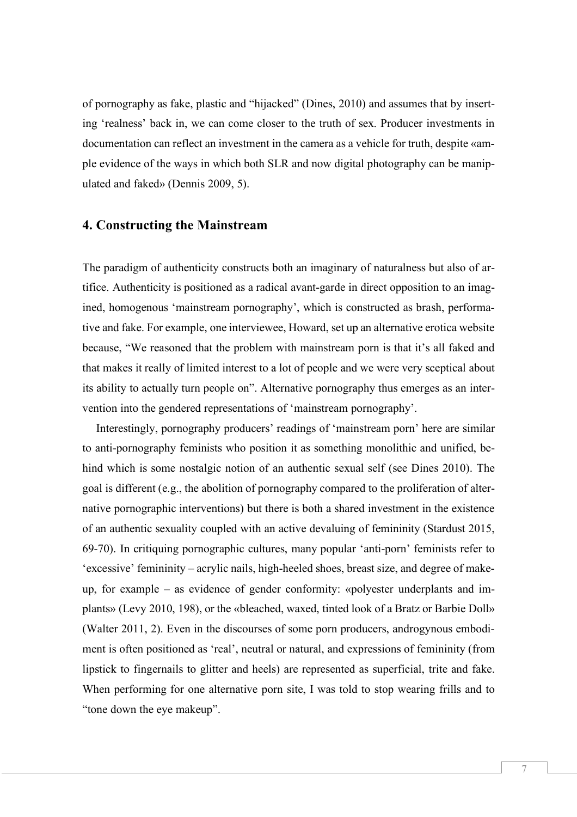of pornography as fake, plastic and "hijacked" (Dines, 2010) and assumes that by inserting 'realness' back in, we can come closer to the truth of sex. Producer investments in documentation can reflect an investment in the camera as a vehicle for truth, despite «ample evidence of the ways in which both SLR and now digital photography can be manipulated and faked» (Dennis 2009, 5).

#### **4. Constructing the Mainstream**

The paradigm of authenticity constructs both an imaginary of naturalness but also of artifice. Authenticity is positioned as a radical avant-garde in direct opposition to an imagined, homogenous 'mainstream pornography', which is constructed as brash, performative and fake. For example, one interviewee, Howard, set up an alternative erotica website because, "We reasoned that the problem with mainstream porn is that it's all faked and that makes it really of limited interest to a lot of people and we were very sceptical about its ability to actually turn people on". Alternative pornography thus emerges as an intervention into the gendered representations of 'mainstream pornography'.

Interestingly, pornography producers' readings of 'mainstream porn' here are similar to anti-pornography feminists who position it as something monolithic and unified, behind which is some nostalgic notion of an authentic sexual self (see Dines 2010). The goal is different (e.g., the abolition of pornography compared to the proliferation of alternative pornographic interventions) but there is both a shared investment in the existence of an authentic sexuality coupled with an active devaluing of femininity (Stardust 2015, 69-70). In critiquing pornographic cultures, many popular 'anti-porn' feminists refer to 'excessive' femininity – acrylic nails, high-heeled shoes, breast size, and degree of makeup, for example – as evidence of gender conformity: «polyester underplants and implants» (Levy 2010, 198), or the «bleached, waxed, tinted look of a Bratz or Barbie Doll» (Walter 2011, 2). Even in the discourses of some porn producers, androgynous embodiment is often positioned as 'real', neutral or natural, and expressions of femininity (from lipstick to fingernails to glitter and heels) are represented as superficial, trite and fake. When performing for one alternative porn site, I was told to stop wearing frills and to "tone down the eye makeup".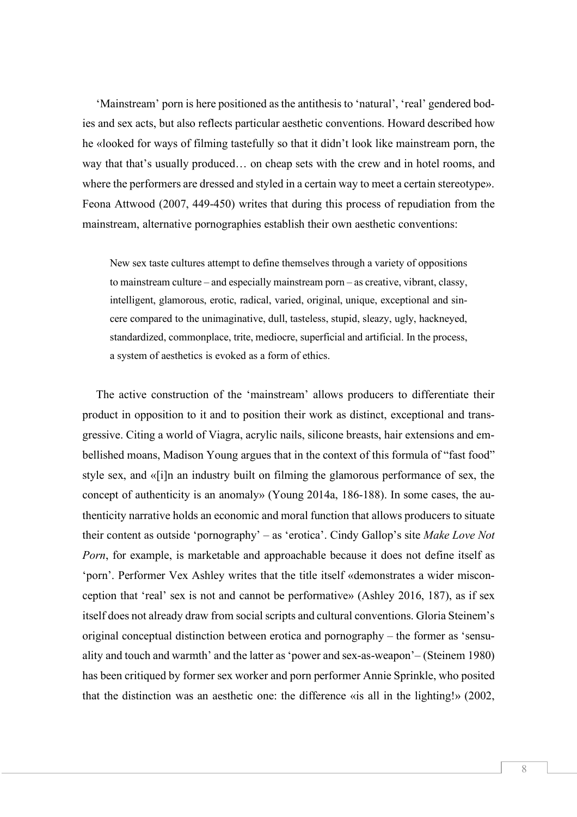'Mainstream' porn is here positioned as the antithesis to 'natural', 'real' gendered bodies and sex acts, but also reflects particular aesthetic conventions. Howard described how he «looked for ways of filming tastefully so that it didn't look like mainstream porn, the way that that's usually produced… on cheap sets with the crew and in hotel rooms, and where the performers are dressed and styled in a certain way to meet a certain stereotype». Feona Attwood (2007, 449-450) writes that during this process of repudiation from the mainstream, alternative pornographies establish their own aesthetic conventions:

New sex taste cultures attempt to define themselves through a variety of oppositions to mainstream culture – and especially mainstream porn – as creative, vibrant, classy, intelligent, glamorous, erotic, radical, varied, original, unique, exceptional and sincere compared to the unimaginative, dull, tasteless, stupid, sleazy, ugly, hackneyed, standardized, commonplace, trite, mediocre, superficial and artificial. In the process, a system of aesthetics is evoked as a form of ethics.

The active construction of the 'mainstream' allows producers to differentiate their product in opposition to it and to position their work as distinct, exceptional and transgressive. Citing a world of Viagra, acrylic nails, silicone breasts, hair extensions and embellished moans, Madison Young argues that in the context of this formula of "fast food" style sex, and «[i]n an industry built on filming the glamorous performance of sex, the concept of authenticity is an anomaly» (Young 2014a, 186-188). In some cases, the authenticity narrative holds an economic and moral function that allows producers to situate their content as outside 'pornography' – as 'erotica'. Cindy Gallop's site *Make Love Not Porn*, for example, is marketable and approachable because it does not define itself as 'porn'. Performer Vex Ashley writes that the title itself «demonstrates a wider misconception that 'real' sex is not and cannot be performative» (Ashley 2016, 187), as if sex itself does not already draw from social scripts and cultural conventions. Gloria Steinem's original conceptual distinction between erotica and pornography – the former as 'sensuality and touch and warmth' and the latter as 'power and sex-as-weapon'– (Steinem 1980) has been critiqued by former sex worker and porn performer Annie Sprinkle, who posited that the distinction was an aesthetic one: the difference «is all in the lighting!» (2002,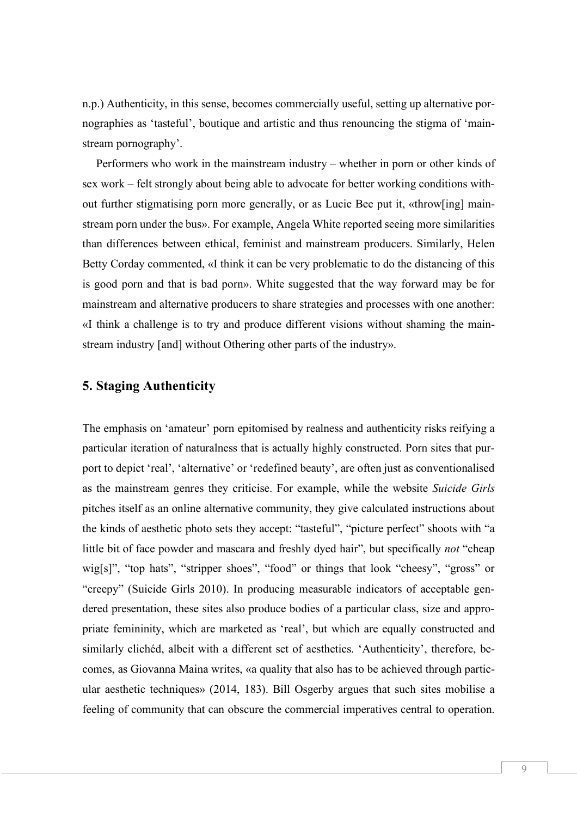n.p.) Authenticity, in this sense, becomes commercially useful, setting up alternative pornographies as 'tasteful', boutique and artistic and thus renouncing the stigma of 'mainstream pornography'.

Performers who work in the mainstream industry – whether in porn or other kinds of sex work – felt strongly about being able to advocate for better working conditions without further stigmatising porn more generally, or as Lucie Bee put it, «throw[ing] mainstream porn under the bus». For example, Angela White reported seeing more similarities than differences between ethical, feminist and mainstream producers. Similarly, Helen Betty Corday commented, «I think it can be very problematic to do the distancing of this is good porn and that is bad porn». White suggested that the way forward may be for mainstream and alternative producers to share strategies and processes with one another: «I think a challenge is to try and produce different visions without shaming the mainstream industry [and] without Othering other parts of the industry».

## **5. Staging Authenticity**

The emphasis on 'amateur' porn epitomised by realness and authenticity risks reifying a particular iteration of naturalness that is actually highly constructed. Porn sites that purport to depict 'real', 'alternative' or 'redefined beauty', are often just as conventionalised as the mainstream genres they criticise. For example, while the website *Suicide Girls* pitches itself as an online alternative community, they give calculated instructions about the kinds of aesthetic photo sets they accept: "tasteful", "picture perfect" shoots with "a little bit of face powder and mascara and freshly dyed hair", but specifically *not* "cheap wig[s]", "top hats", "stripper shoes", "food" or things that look "cheesy", "gross" or "creepy" (Suicide Girls 2010). In producing measurable indicators of acceptable gendered presentation, these sites also produce bodies of a particular class, size and appropriate femininity, which are marketed as 'real', but which are equally constructed and similarly clichéd, albeit with a different set of aesthetics. 'Authenticity', therefore, becomes, as Giovanna Maina writes, «a quality that also has to be achieved through particular aesthetic techniques» (2014, 183). Bill Osgerby argues that such sites mobilise a feeling of community that can obscure the commercial imperatives central to operation.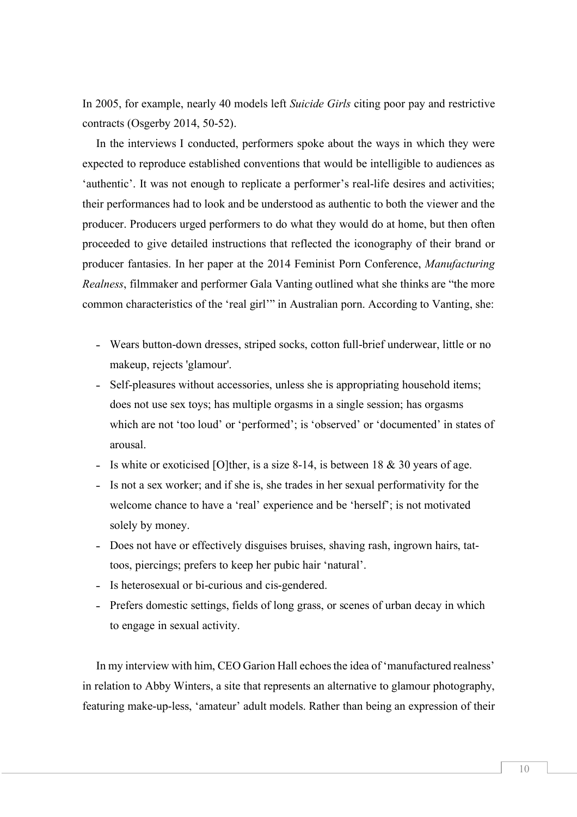In 2005, for example, nearly 40 models left *Suicide Girls* citing poor pay and restrictive contracts (Osgerby 2014, 50-52).

In the interviews I conducted, performers spoke about the ways in which they were expected to reproduce established conventions that would be intelligible to audiences as 'authentic'. It was not enough to replicate a performer's real-life desires and activities; their performances had to look and be understood as authentic to both the viewer and the producer. Producers urged performers to do what they would do at home, but then often proceeded to give detailed instructions that reflected the iconography of their brand or producer fantasies. In her paper at the 2014 Feminist Porn Conference, *Manufacturing Realness*, filmmaker and performer Gala Vanting outlined what she thinks are "the more common characteristics of the 'real girl'" in Australian porn. According to Vanting, she:

- Wears button-down dresses, striped socks, cotton full-brief underwear, little or no makeup, rejects 'glamour'.
- Self-pleasures without accessories, unless she is appropriating household items; does not use sex toys; has multiple orgasms in a single session; has orgasms which are not 'too loud' or 'performed'; is 'observed' or 'documented' in states of arousal.
- Is white or exoticised [O]ther, is a size 8-14, is between 18  $&$  30 years of age.
- Is not a sex worker; and if she is, she trades in her sexual performativity for the welcome chance to have a 'real' experience and be 'herself'; is not motivated solely by money.
- Does not have or effectively disguises bruises, shaving rash, ingrown hairs, tattoos, piercings; prefers to keep her pubic hair 'natural'.
- Is heterosexual or bi-curious and cis-gendered.
- Prefers domestic settings, fields of long grass, or scenes of urban decay in which to engage in sexual activity.

In my interview with him, CEO Garion Hall echoes the idea of 'manufactured realness' in relation to Abby Winters, a site that represents an alternative to glamour photography, featuring make-up-less, 'amateur' adult models. Rather than being an expression of their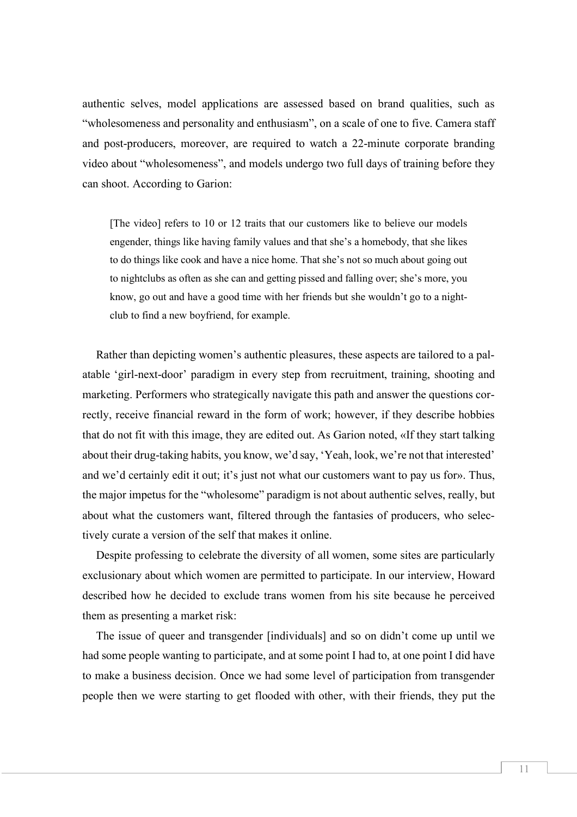authentic selves, model applications are assessed based on brand qualities, such as "wholesomeness and personality and enthusiasm", on a scale of one to five. Camera staff and post-producers, moreover, are required to watch a 22-minute corporate branding video about "wholesomeness", and models undergo two full days of training before they can shoot. According to Garion:

[The video] refers to 10 or 12 traits that our customers like to believe our models engender, things like having family values and that she's a homebody, that she likes to do things like cook and have a nice home. That she's not so much about going out to nightclubs as often as she can and getting pissed and falling over; she's more, you know, go out and have a good time with her friends but she wouldn't go to a nightclub to find a new boyfriend, for example.

Rather than depicting women's authentic pleasures, these aspects are tailored to a palatable 'girl-next-door' paradigm in every step from recruitment, training, shooting and marketing. Performers who strategically navigate this path and answer the questions correctly, receive financial reward in the form of work; however, if they describe hobbies that do not fit with this image, they are edited out. As Garion noted, «If they start talking about their drug-taking habits, you know, we'd say, 'Yeah, look, we're not that interested' and we'd certainly edit it out; it's just not what our customers want to pay us for». Thus, the major impetus for the "wholesome" paradigm is not about authentic selves, really, but about what the customers want, filtered through the fantasies of producers, who selectively curate a version of the self that makes it online.

Despite professing to celebrate the diversity of all women, some sites are particularly exclusionary about which women are permitted to participate. In our interview, Howard described how he decided to exclude trans women from his site because he perceived them as presenting a market risk:

The issue of queer and transgender [individuals] and so on didn't come up until we had some people wanting to participate, and at some point I had to, at one point I did have to make a business decision. Once we had some level of participation from transgender people then we were starting to get flooded with other, with their friends, they put the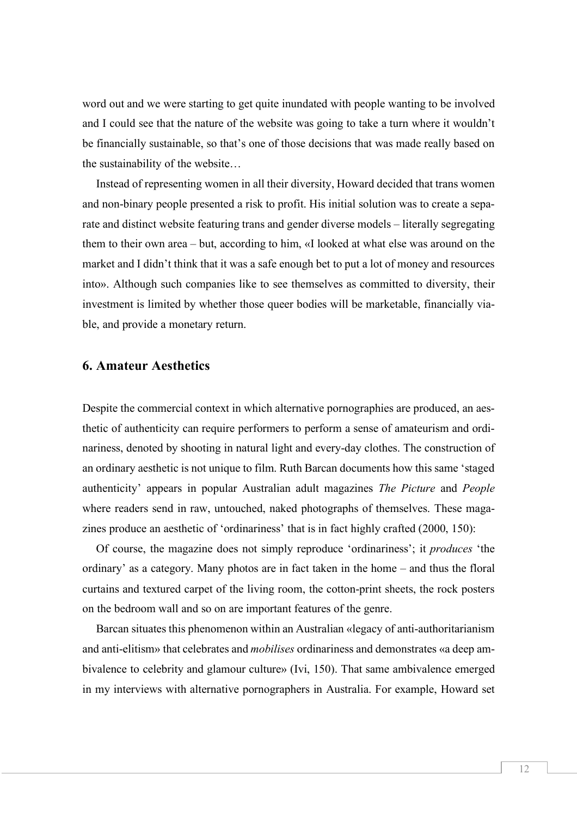word out and we were starting to get quite inundated with people wanting to be involved and I could see that the nature of the website was going to take a turn where it wouldn't be financially sustainable, so that's one of those decisions that was made really based on the sustainability of the website…

Instead of representing women in all their diversity, Howard decided that trans women and non-binary people presented a risk to profit. His initial solution was to create a separate and distinct website featuring trans and gender diverse models – literally segregating them to their own area – but, according to him, «I looked at what else was around on the market and I didn't think that it was a safe enough bet to put a lot of money and resources into». Although such companies like to see themselves as committed to diversity, their investment is limited by whether those queer bodies will be marketable, financially viable, and provide a monetary return.

## **6. Amateur Aesthetics**

Despite the commercial context in which alternative pornographies are produced, an aesthetic of authenticity can require performers to perform a sense of amateurism and ordinariness, denoted by shooting in natural light and every-day clothes. The construction of an ordinary aesthetic is not unique to film. Ruth Barcan documents how this same 'staged authenticity' appears in popular Australian adult magazines *The Picture* and *People* where readers send in raw, untouched, naked photographs of themselves. These magazines produce an aesthetic of 'ordinariness' that is in fact highly crafted (2000, 150):

Of course, the magazine does not simply reproduce 'ordinariness'; it *produces* 'the ordinary' as a category. Many photos are in fact taken in the home – and thus the floral curtains and textured carpet of the living room, the cotton-print sheets, the rock posters on the bedroom wall and so on are important features of the genre.

Barcan situates this phenomenon within an Australian «legacy of anti-authoritarianism and anti-elitism» that celebrates and *mobilises* ordinariness and demonstrates «a deep ambivalence to celebrity and glamour culture» (Ivi, 150). That same ambivalence emerged in my interviews with alternative pornographers in Australia. For example, Howard set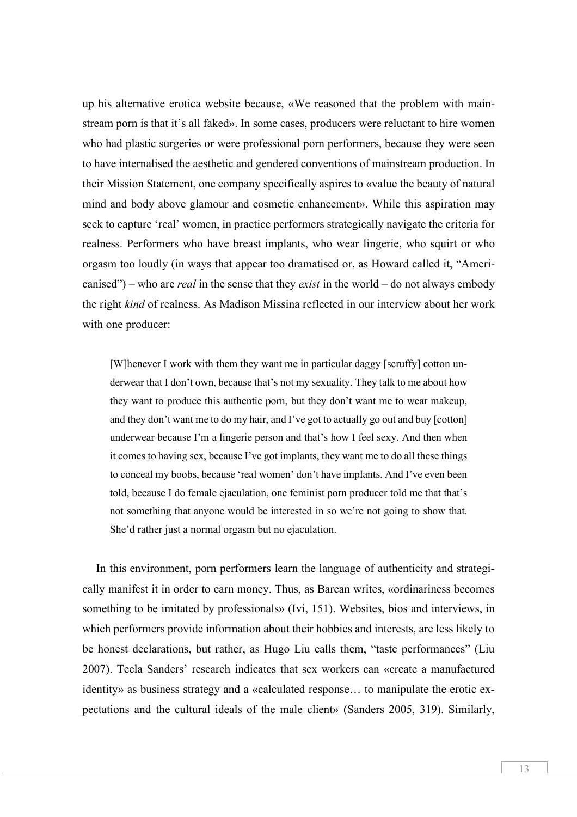up his alternative erotica website because, «We reasoned that the problem with mainstream porn is that it's all faked». In some cases, producers were reluctant to hire women who had plastic surgeries or were professional porn performers, because they were seen to have internalised the aesthetic and gendered conventions of mainstream production. In their Mission Statement, one company specifically aspires to «value the beauty of natural mind and body above glamour and cosmetic enhancement». While this aspiration may seek to capture 'real' women, in practice performers strategically navigate the criteria for realness. Performers who have breast implants, who wear lingerie, who squirt or who orgasm too loudly (in ways that appear too dramatised or, as Howard called it, "Americanised") – who are *real* in the sense that they *exist* in the world – do not always embody the right *kind* of realness. As Madison Missina reflected in our interview about her work with one producer:

[W]henever I work with them they want me in particular daggy [scruffy] cotton underwear that I don't own, because that's not my sexuality. They talk to me about how they want to produce this authentic porn, but they don't want me to wear makeup, and they don't want me to do my hair, and I've got to actually go out and buy [cotton] underwear because I'm a lingerie person and that's how I feel sexy. And then when it comes to having sex, because I've got implants, they want me to do all these things to conceal my boobs, because 'real women' don't have implants. And I've even been told, because I do female ejaculation, one feminist porn producer told me that that's not something that anyone would be interested in so we're not going to show that. She'd rather just a normal orgasm but no ejaculation.

In this environment, porn performers learn the language of authenticity and strategically manifest it in order to earn money. Thus, as Barcan writes, «ordinariness becomes something to be imitated by professionals» (Ivi, 151). Websites, bios and interviews, in which performers provide information about their hobbies and interests, are less likely to be honest declarations, but rather, as Hugo Liu calls them, "taste performances" (Liu 2007). Teela Sanders' research indicates that sex workers can «create a manufactured identity» as business strategy and a «calculated response… to manipulate the erotic expectations and the cultural ideals of the male client» (Sanders 2005, 319). Similarly,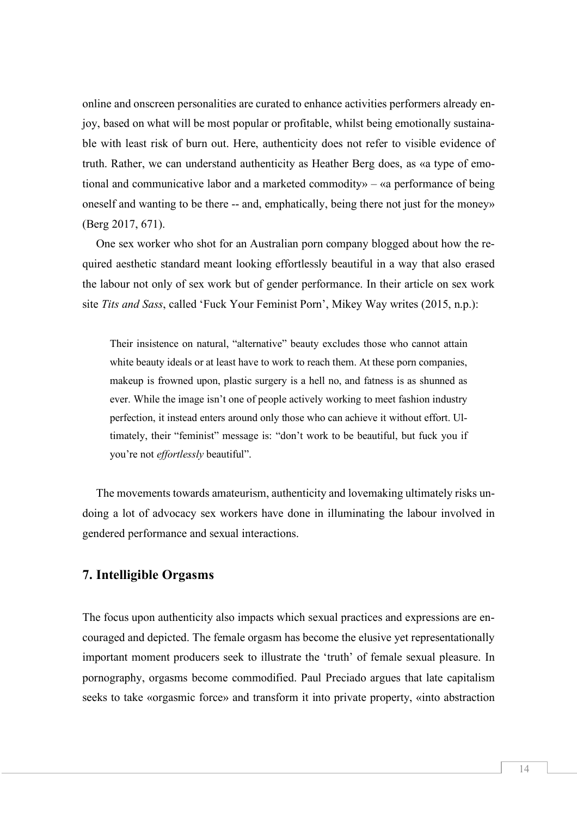online and onscreen personalities are curated to enhance activities performers already enjoy, based on what will be most popular or profitable, whilst being emotionally sustainable with least risk of burn out. Here, authenticity does not refer to visible evidence of truth. Rather, we can understand authenticity as Heather Berg does, as «a type of emotional and communicative labor and a marketed commodity» – «a performance of being oneself and wanting to be there -- and, emphatically, being there not just for the money» (Berg 2017, 671).

One sex worker who shot for an Australian porn company blogged about how the required aesthetic standard meant looking effortlessly beautiful in a way that also erased the labour not only of sex work but of gender performance. In their article on sex work site *Tits and Sass*, called 'Fuck Your Feminist Porn', Mikey Way writes (2015, n.p.):

Their insistence on natural, "alternative" beauty excludes those who cannot attain white beauty ideals or at least have to work to reach them. At these porn companies, makeup is frowned upon, plastic surgery is a hell no, and fatness is as shunned as ever. While the image isn't one of people actively working to meet fashion industry perfection, it instead enters around only those who can achieve it without effort. Ultimately, their "feminist" message is: "don't work to be beautiful, but fuck you if you're not *effortlessly* beautiful".

The movements towards amateurism, authenticity and lovemaking ultimately risks undoing a lot of advocacy sex workers have done in illuminating the labour involved in gendered performance and sexual interactions.

#### **7. Intelligible Orgasms**

The focus upon authenticity also impacts which sexual practices and expressions are encouraged and depicted. The female orgasm has become the elusive yet representationally important moment producers seek to illustrate the 'truth' of female sexual pleasure. In pornography, orgasms become commodified. Paul Preciado argues that late capitalism seeks to take «orgasmic force» and transform it into private property, «into abstraction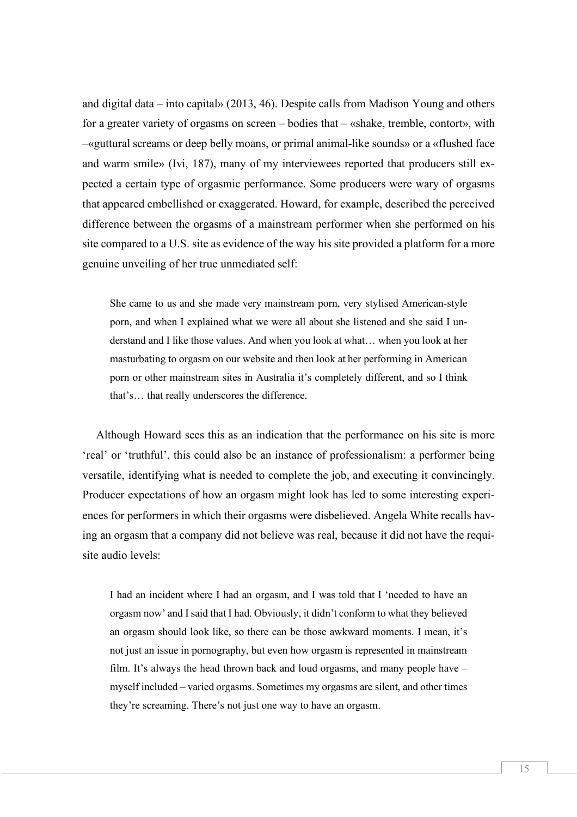and digital data – into capital» (2013, 46). Despite calls from Madison Young and others for a greater variety of orgasms on screen – bodies that – «shake, tremble, contort», with –«guttural screams or deep belly moans, or primal animal-like sounds» or a «flushed face and warm smile» (Ivi, 187), many of my interviewees reported that producers still expected a certain type of orgasmic performance. Some producers were wary of orgasms that appeared embellished or exaggerated. Howard, for example, described the perceived difference between the orgasms of a mainstream performer when she performed on his site compared to a U.S. site as evidence of the way his site provided a platform for a more genuine unveiling of her true unmediated self:

She came to us and she made very mainstream porn, very stylised American-style porn, and when I explained what we were all about she listened and she said I understand and I like those values. And when you look at what… when you look at her masturbating to orgasm on our website and then look at her performing in American porn or other mainstream sites in Australia it's completely different, and so I think that's… that really underscores the difference.

Although Howard sees this as an indication that the performance on his site is more 'real' or 'truthful', this could also be an instance of professionalism: a performer being versatile, identifying what is needed to complete the job, and executing it convincingly. Producer expectations of how an orgasm might look has led to some interesting experiences for performers in which their orgasms were disbelieved. Angela White recalls having an orgasm that a company did not believe was real, because it did not have the requisite audio levels:

I had an incident where I had an orgasm, and I was told that I 'needed to have an orgasm now' and I said that I had. Obviously, it didn't conform to what they believed an orgasm should look like, so there can be those awkward moments. I mean, it's not just an issue in pornography, but even how orgasm is represented in mainstream film. It's always the head thrown back and loud orgasms, and many people have – myself included – varied orgasms. Sometimes my orgasms are silent, and other times they're screaming. There's not just one way to have an orgasm.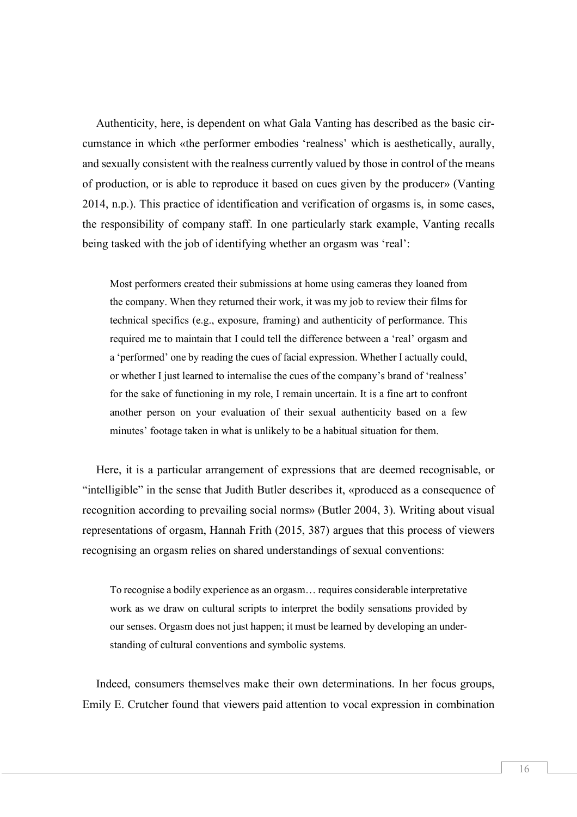Authenticity, here, is dependent on what Gala Vanting has described as the basic circumstance in which «the performer embodies 'realness' which is aesthetically, aurally, and sexually consistent with the realness currently valued by those in control of the means of production, or is able to reproduce it based on cues given by the producer» (Vanting 2014, n.p.). This practice of identification and verification of orgasms is, in some cases, the responsibility of company staff. In one particularly stark example, Vanting recalls being tasked with the job of identifying whether an orgasm was 'real':

Most performers created their submissions at home using cameras they loaned from the company. When they returned their work, it was my job to review their films for technical specifics (e.g., exposure, framing) and authenticity of performance. This required me to maintain that I could tell the difference between a 'real' orgasm and a 'performed' one by reading the cues of facial expression. Whether I actually could, or whether I just learned to internalise the cues of the company's brand of 'realness' for the sake of functioning in my role, I remain uncertain. It is a fine art to confront another person on your evaluation of their sexual authenticity based on a few minutes' footage taken in what is unlikely to be a habitual situation for them.

Here, it is a particular arrangement of expressions that are deemed recognisable, or "intelligible" in the sense that Judith Butler describes it, «produced as a consequence of recognition according to prevailing social norms» (Butler 2004, 3). Writing about visual representations of orgasm, Hannah Frith (2015, 387) argues that this process of viewers recognising an orgasm relies on shared understandings of sexual conventions:

To recognise a bodily experience as an orgasm… requires considerable interpretative work as we draw on cultural scripts to interpret the bodily sensations provided by our senses. Orgasm does not just happen; it must be learned by developing an understanding of cultural conventions and symbolic systems.

Indeed, consumers themselves make their own determinations. In her focus groups, Emily E. Crutcher found that viewers paid attention to vocal expression in combination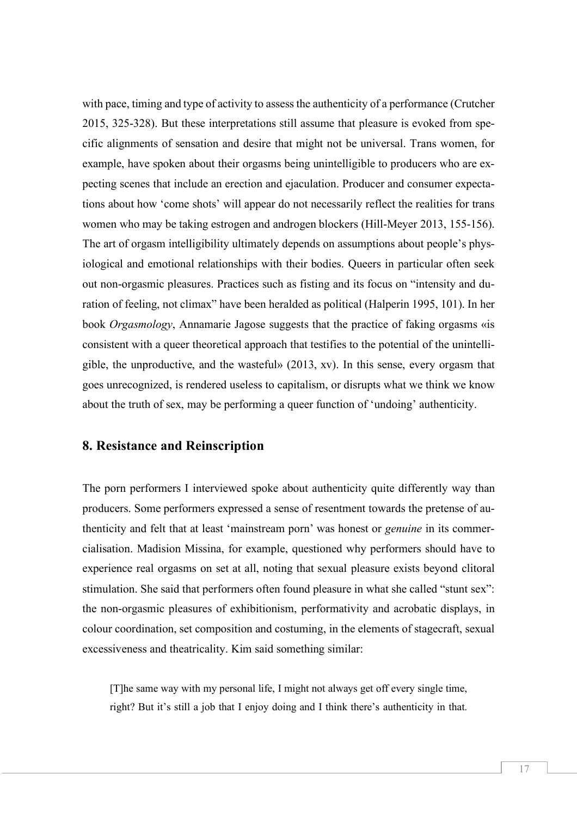with pace, timing and type of activity to assess the authenticity of a performance (Crutcher 2015, 325-328). But these interpretations still assume that pleasure is evoked from specific alignments of sensation and desire that might not be universal. Trans women, for example, have spoken about their orgasms being unintelligible to producers who are expecting scenes that include an erection and ejaculation. Producer and consumer expectations about how 'come shots' will appear do not necessarily reflect the realities for trans women who may be taking estrogen and androgen blockers (Hill-Meyer 2013, 155-156). The art of orgasm intelligibility ultimately depends on assumptions about people's physiological and emotional relationships with their bodies. Queers in particular often seek out non-orgasmic pleasures. Practices such as fisting and its focus on "intensity and duration of feeling, not climax" have been heralded as political (Halperin 1995, 101). In her book *Orgasmology*, Annamarie Jagose suggests that the practice of faking orgasms «is consistent with a queer theoretical approach that testifies to the potential of the unintelligible, the unproductive, and the wasteful» (2013, xv). In this sense, every orgasm that goes unrecognized, is rendered useless to capitalism, or disrupts what we think we know about the truth of sex, may be performing a queer function of 'undoing' authenticity.

# **8. Resistance and Reinscription**

The porn performers I interviewed spoke about authenticity quite differently way than producers. Some performers expressed a sense of resentment towards the pretense of authenticity and felt that at least 'mainstream porn' was honest or *genuine* in its commercialisation. Madision Missina, for example, questioned why performers should have to experience real orgasms on set at all, noting that sexual pleasure exists beyond clitoral stimulation. She said that performers often found pleasure in what she called "stunt sex": the non-orgasmic pleasures of exhibitionism, performativity and acrobatic displays, in colour coordination, set composition and costuming, in the elements of stagecraft, sexual excessiveness and theatricality. Kim said something similar:

[T]he same way with my personal life, I might not always get off every single time, right? But it's still a job that I enjoy doing and I think there's authenticity in that.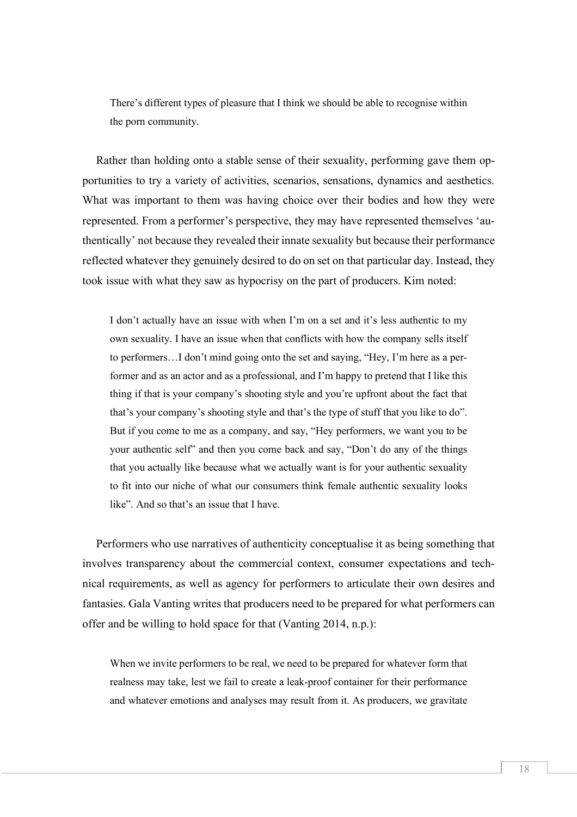There's different types of pleasure that I think we should be able to recognise within the porn community.

Rather than holding onto a stable sense of their sexuality, performing gave them opportunities to try a variety of activities, scenarios, sensations, dynamics and aesthetics. What was important to them was having choice over their bodies and how they were represented. From a performer's perspective, they may have represented themselves 'authentically' not because they revealed their innate sexuality but because their performance reflected whatever they genuinely desired to do on set on that particular day. Instead, they took issue with what they saw as hypocrisy on the part of producers. Kim noted:

I don't actually have an issue with when I'm on a set and it's less authentic to my own sexuality. I have an issue when that conflicts with how the company sells itself to performers…I don't mind going onto the set and saying, "Hey, I'm here as a performer and as an actor and as a professional, and I'm happy to pretend that I like this thing if that is your company's shooting style and you're upfront about the fact that that's your company's shooting style and that's the type of stuff that you like to do". But if you come to me as a company, and say, "Hey performers, we want you to be your authentic self" and then you come back and say, "Don't do any of the things that you actually like because what we actually want is for your authentic sexuality to fit into our niche of what our consumers think female authentic sexuality looks like". And so that's an issue that I have.

Performers who use narratives of authenticity conceptualise it as being something that involves transparency about the commercial context, consumer expectations and technical requirements, as well as agency for performers to articulate their own desires and fantasies. Gala Vanting writes that producers need to be prepared for what performers can offer and be willing to hold space for that (Vanting 2014, n.p.):

When we invite performers to be real, we need to be prepared for whatever form that realness may take, lest we fail to create a leak-proof container for their performance and whatever emotions and analyses may result from it. As producers, we gravitate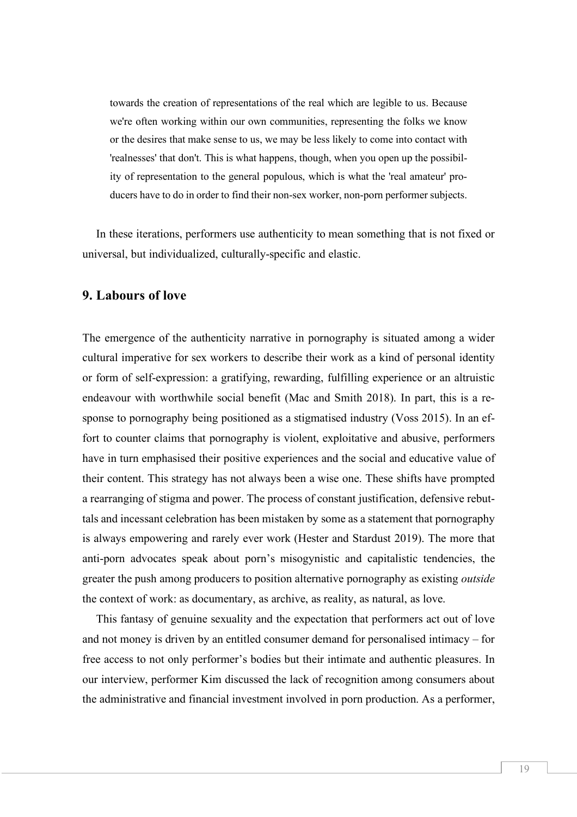towards the creation of representations of the real which are legible to us. Because we're often working within our own communities, representing the folks we know or the desires that make sense to us, we may be less likely to come into contact with 'realnesses' that don't. This is what happens, though, when you open up the possibility of representation to the general populous, which is what the 'real amateur' producers have to do in order to find their non-sex worker, non-porn performer subjects.

In these iterations, performers use authenticity to mean something that is not fixed or universal, but individualized, culturally-specific and elastic.

#### **9. Labours of love**

The emergence of the authenticity narrative in pornography is situated among a wider cultural imperative for sex workers to describe their work as a kind of personal identity or form of self-expression: a gratifying, rewarding, fulfilling experience or an altruistic endeavour with worthwhile social benefit (Mac and Smith 2018). In part, this is a response to pornography being positioned as a stigmatised industry (Voss 2015). In an effort to counter claims that pornography is violent, exploitative and abusive, performers have in turn emphasised their positive experiences and the social and educative value of their content. This strategy has not always been a wise one. These shifts have prompted a rearranging of stigma and power. The process of constant justification, defensive rebuttals and incessant celebration has been mistaken by some as a statement that pornography is always empowering and rarely ever work (Hester and Stardust 2019). The more that anti-porn advocates speak about porn's misogynistic and capitalistic tendencies, the greater the push among producers to position alternative pornography as existing *outside* the context of work: as documentary, as archive, as reality, as natural, as love.

This fantasy of genuine sexuality and the expectation that performers act out of love and not money is driven by an entitled consumer demand for personalised intimacy – for free access to not only performer's bodies but their intimate and authentic pleasures. In our interview, performer Kim discussed the lack of recognition among consumers about the administrative and financial investment involved in porn production. As a performer,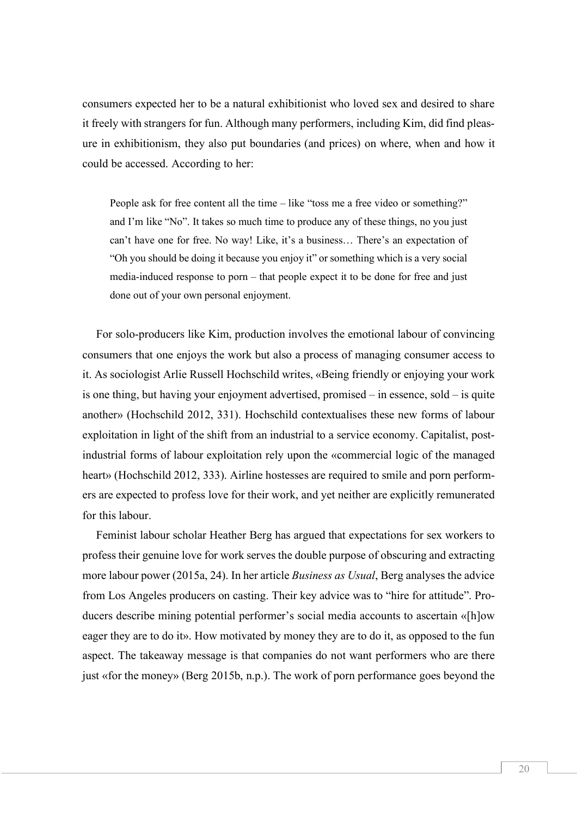consumers expected her to be a natural exhibitionist who loved sex and desired to share it freely with strangers for fun. Although many performers, including Kim, did find pleasure in exhibitionism, they also put boundaries (and prices) on where, when and how it could be accessed. According to her:

People ask for free content all the time – like "toss me a free video or something?" and I'm like "No". It takes so much time to produce any of these things, no you just can't have one for free. No way! Like, it's a business… There's an expectation of "Oh you should be doing it because you enjoy it" or something which is a very social media-induced response to porn – that people expect it to be done for free and just done out of your own personal enjoyment.

For solo-producers like Kim, production involves the emotional labour of convincing consumers that one enjoys the work but also a process of managing consumer access to it. As sociologist Arlie Russell Hochschild writes, «Being friendly or enjoying your work is one thing, but having your enjoyment advertised, promised – in essence, sold – is quite another» (Hochschild 2012, 331). Hochschild contextualises these new forms of labour exploitation in light of the shift from an industrial to a service economy. Capitalist, postindustrial forms of labour exploitation rely upon the «commercial logic of the managed heart» (Hochschild 2012, 333). Airline hostesses are required to smile and porn performers are expected to profess love for their work, and yet neither are explicitly remunerated for this labour.

Feminist labour scholar Heather Berg has argued that expectations for sex workers to profess their genuine love for work serves the double purpose of obscuring and extracting more labour power (2015a, 24). In her article *Business as Usual*, Berg analyses the advice from Los Angeles producers on casting. Their key advice was to "hire for attitude". Producers describe mining potential performer's social media accounts to ascertain «[h]ow eager they are to do it». How motivated by money they are to do it, as opposed to the fun aspect. The takeaway message is that companies do not want performers who are there just «for the money» (Berg 2015b, n.p.). The work of porn performance goes beyond the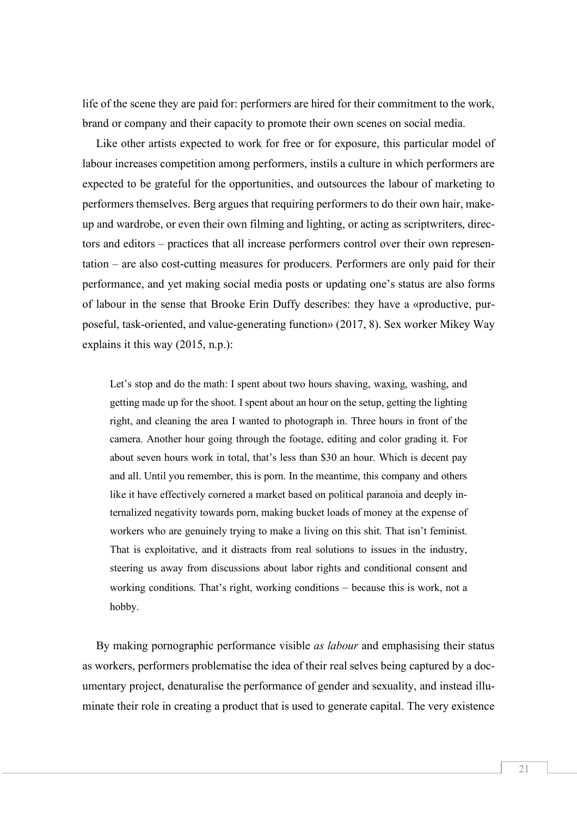life of the scene they are paid for: performers are hired for their commitment to the work, brand or company and their capacity to promote their own scenes on social media.

Like other artists expected to work for free or for exposure, this particular model of labour increases competition among performers, instils a culture in which performers are expected to be grateful for the opportunities, and outsources the labour of marketing to performers themselves. Berg argues that requiring performers to do their own hair, makeup and wardrobe, or even their own filming and lighting, or acting as scriptwriters, directors and editors – practices that all increase performers control over their own representation – are also cost-cutting measures for producers. Performers are only paid for their performance, and yet making social media posts or updating one's status are also forms of labour in the sense that Brooke Erin Duffy describes: they have a «productive, purposeful, task-oriented, and value-generating function» (2017, 8). Sex worker Mikey Way explains it this way (2015, n.p.):

Let's stop and do the math: I spent about two hours shaving, waxing, washing, and getting made up for the shoot. I spent about an hour on the setup, getting the lighting right, and cleaning the area I wanted to photograph in. Three hours in front of the camera. Another hour going through the footage, editing and color grading it. For about seven hours work in total, that's less than \$30 an hour. Which is decent pay and all. Until you remember, this is porn. In the meantime, this company and others like it have effectively cornered a market based on political paranoia and deeply internalized negativity towards porn, making bucket loads of money at the expense of workers who are genuinely trying to make a living on this shit. That isn't feminist. That is exploitative, and it distracts from real solutions to issues in the industry, steering us away from discussions about labor rights and conditional consent and working conditions. That's right, working conditions – because this is work, not a hobby.

By making pornographic performance visible *as labour* and emphasising their status as workers, performers problematise the idea of their real selves being captured by a documentary project, denaturalise the performance of gender and sexuality, and instead illuminate their role in creating a product that is used to generate capital. The very existence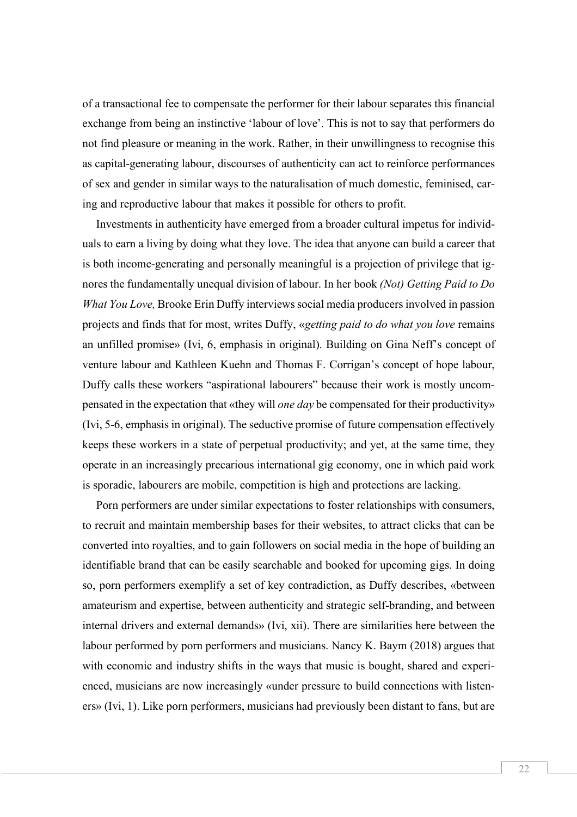of a transactional fee to compensate the performer for their labour separates this financial exchange from being an instinctive 'labour of love'. This is not to say that performers do not find pleasure or meaning in the work. Rather, in their unwillingness to recognise this as capital-generating labour, discourses of authenticity can act to reinforce performances of sex and gender in similar ways to the naturalisation of much domestic, feminised, caring and reproductive labour that makes it possible for others to profit.

Investments in authenticity have emerged from a broader cultural impetus for individuals to earn a living by doing what they love. The idea that anyone can build a career that is both income-generating and personally meaningful is a projection of privilege that ignores the fundamentally unequal division of labour. In her book *(Not) Getting Paid to Do What You Love,* Brooke Erin Duffy interviews social media producers involved in passion projects and finds that for most, writes Duffy, «*getting paid to do what you love* remains an unfilled promise» (Ivi, 6, emphasis in original). Building on Gina Neff's concept of venture labour and Kathleen Kuehn and Thomas F. Corrigan's concept of hope labour, Duffy calls these workers "aspirational labourers" because their work is mostly uncompensated in the expectation that «they will *one day* be compensated for their productivity» (Ivi, 5-6, emphasis in original). The seductive promise of future compensation effectively keeps these workers in a state of perpetual productivity; and yet, at the same time, they operate in an increasingly precarious international gig economy, one in which paid work is sporadic, labourers are mobile, competition is high and protections are lacking.

Porn performers are under similar expectations to foster relationships with consumers, to recruit and maintain membership bases for their websites, to attract clicks that can be converted into royalties, and to gain followers on social media in the hope of building an identifiable brand that can be easily searchable and booked for upcoming gigs. In doing so, porn performers exemplify a set of key contradiction, as Duffy describes, «between amateurism and expertise, between authenticity and strategic self-branding, and between internal drivers and external demands» (Ivi, xii). There are similarities here between the labour performed by porn performers and musicians. Nancy K. Baym (2018) argues that with economic and industry shifts in the ways that music is bought, shared and experienced, musicians are now increasingly «under pressure to build connections with listeners» (Ivi, 1). Like porn performers, musicians had previously been distant to fans, but are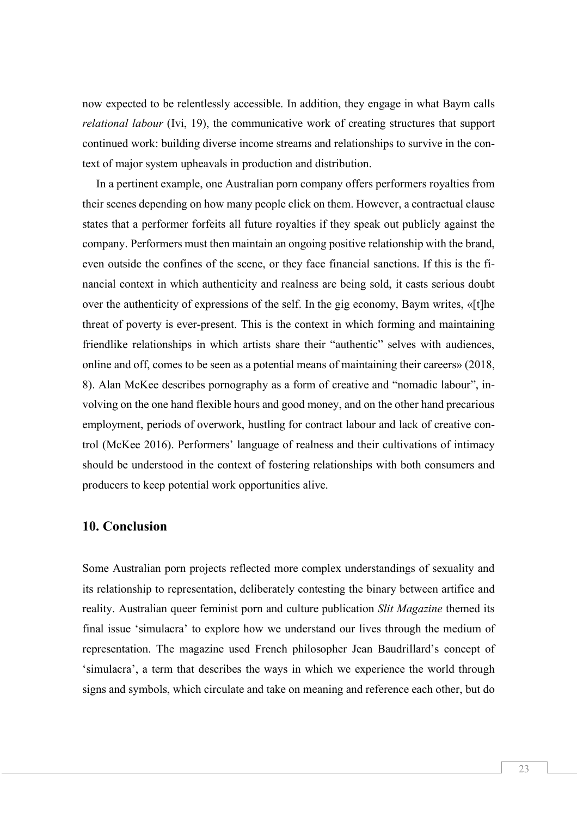now expected to be relentlessly accessible. In addition, they engage in what Baym calls *relational labour* (Ivi, 19), the communicative work of creating structures that support continued work: building diverse income streams and relationships to survive in the context of major system upheavals in production and distribution.

In a pertinent example, one Australian porn company offers performers royalties from their scenes depending on how many people click on them. However, a contractual clause states that a performer forfeits all future royalties if they speak out publicly against the company. Performers must then maintain an ongoing positive relationship with the brand, even outside the confines of the scene, or they face financial sanctions. If this is the financial context in which authenticity and realness are being sold, it casts serious doubt over the authenticity of expressions of the self. In the gig economy, Baym writes, «[t]he threat of poverty is ever-present. This is the context in which forming and maintaining friendlike relationships in which artists share their "authentic" selves with audiences, online and off, comes to be seen as a potential means of maintaining their careers» (2018, 8). Alan McKee describes pornography as a form of creative and "nomadic labour", involving on the one hand flexible hours and good money, and on the other hand precarious employment, periods of overwork, hustling for contract labour and lack of creative control (McKee 2016). Performers' language of realness and their cultivations of intimacy should be understood in the context of fostering relationships with both consumers and producers to keep potential work opportunities alive.

## **10. Conclusion**

Some Australian porn projects reflected more complex understandings of sexuality and its relationship to representation, deliberately contesting the binary between artifice and reality. Australian queer feminist porn and culture publication *Slit Magazine* themed its final issue 'simulacra' to explore how we understand our lives through the medium of representation. The magazine used French philosopher Jean Baudrillard's concept of 'simulacra', a term that describes the ways in which we experience the world through signs and symbols, which circulate and take on meaning and reference each other, but do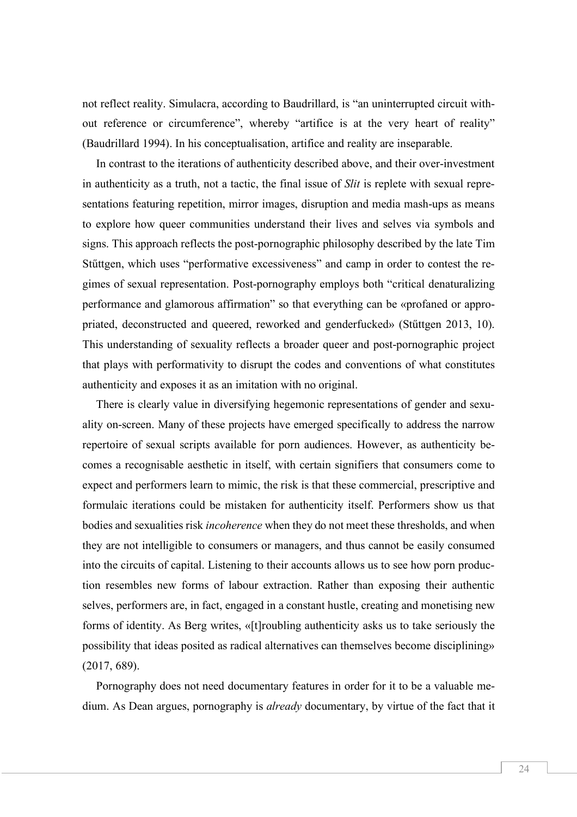not reflect reality. Simulacra, according to Baudrillard, is "an uninterrupted circuit without reference or circumference", whereby "artifice is at the very heart of reality" (Baudrillard 1994). In his conceptualisation, artifice and reality are inseparable.

In contrast to the iterations of authenticity described above, and their over-investment in authenticity as a truth, not a tactic, the final issue of *Slit* is replete with sexual representations featuring repetition, mirror images, disruption and media mash-ups as means to explore how queer communities understand their lives and selves via symbols and signs. This approach reflects the post-pornographic philosophy described by the late Tim Stűttgen, which uses "performative excessiveness" and camp in order to contest the regimes of sexual representation. Post-pornography employs both "critical denaturalizing performance and glamorous affirmation" so that everything can be «profaned or appropriated, deconstructed and queered, reworked and genderfucked» (Stűttgen 2013, 10). This understanding of sexuality reflects a broader queer and post-pornographic project that plays with performativity to disrupt the codes and conventions of what constitutes authenticity and exposes it as an imitation with no original.

There is clearly value in diversifying hegemonic representations of gender and sexuality on-screen. Many of these projects have emerged specifically to address the narrow repertoire of sexual scripts available for porn audiences. However, as authenticity becomes a recognisable aesthetic in itself, with certain signifiers that consumers come to expect and performers learn to mimic, the risk is that these commercial, prescriptive and formulaic iterations could be mistaken for authenticity itself. Performers show us that bodies and sexualities risk *incoherence* when they do not meet these thresholds, and when they are not intelligible to consumers or managers, and thus cannot be easily consumed into the circuits of capital. Listening to their accounts allows us to see how porn production resembles new forms of labour extraction. Rather than exposing their authentic selves, performers are, in fact, engaged in a constant hustle, creating and monetising new forms of identity. As Berg writes, «[t]roubling authenticity asks us to take seriously the possibility that ideas posited as radical alternatives can themselves become disciplining» (2017, 689).

Pornography does not need documentary features in order for it to be a valuable medium. As Dean argues, pornography is *already* documentary, by virtue of the fact that it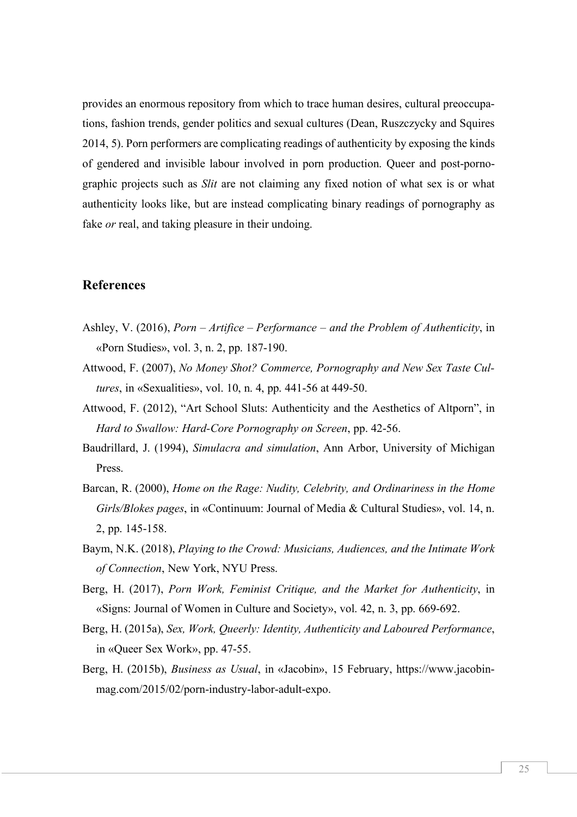provides an enormous repository from which to trace human desires, cultural preoccupations, fashion trends, gender politics and sexual cultures (Dean, Ruszczycky and Squires 2014, 5). Porn performers are complicating readings of authenticity by exposing the kinds of gendered and invisible labour involved in porn production. Queer and post-pornographic projects such as *Slit* are not claiming any fixed notion of what sex is or what authenticity looks like, but are instead complicating binary readings of pornography as fake *or* real, and taking pleasure in their undoing.

#### **References**

- Ashley, V. (2016), *Porn – Artifice – Performance – and the Problem of Authenticity*, in «Porn Studies», vol. 3, n. 2, pp. 187-190.
- Attwood, F. (2007), *No Money Shot? Commerce, Pornography and New Sex Taste Cultures*, in «Sexualities», vol. 10, n. 4, pp. 441-56 at 449-50.
- Attwood, F. (2012), "Art School Sluts: Authenticity and the Aesthetics of Altporn", in *Hard to Swallow: Hard-Core Pornography on Screen*, pp. 42-56.
- Baudrillard, J. (1994), *Simulacra and simulation*, Ann Arbor, University of Michigan Press.
- Barcan, R. (2000), *Home on the Rage: Nudity, Celebrity, and Ordinariness in the Home Girls/Blokes pages*, in «Continuum: Journal of Media & Cultural Studies», vol. 14, n. 2, pp. 145-158.
- Baym, N.K. (2018), *Playing to the Crowd: Musicians, Audiences, and the Intimate Work of Connection*, New York, NYU Press.
- Berg, H. (2017), *Porn Work, Feminist Critique, and the Market for Authenticity*, in «Signs: Journal of Women in Culture and Society», vol. 42, n. 3, pp. 669-692.
- Berg, H. (2015a), *Sex, Work, Queerly: Identity, Authenticity and Laboured Performance*, in «Queer Sex Work», pp. 47-55.
- Berg, H. (2015b), *Business as Usual*, in «Jacobin», 15 February, https://www.jacobinmag.com/2015/02/porn-industry-labor-adult-expo.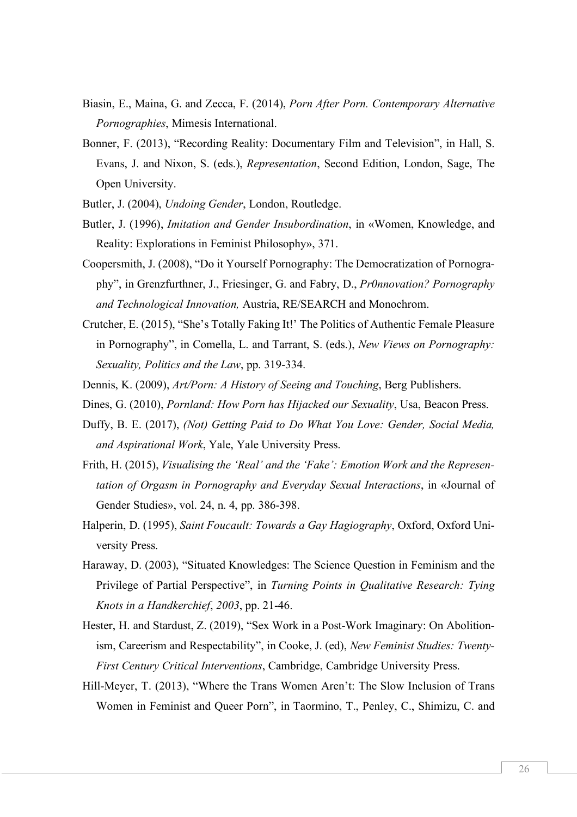- Biasin, E., Maina, G. and Zecca, F. (2014), *Porn After Porn. Contemporary Alternative Pornographies*, Mimesis International.
- Bonner, F. (2013), "Recording Reality: Documentary Film and Television", in Hall, S. Evans, J. and Nixon, S. (eds.), *Representation*, Second Edition, London, Sage, The Open University.
- Butler, J. (2004), *Undoing Gender*, London, Routledge.
- Butler, J. (1996), *Imitation and Gender Insubordination*, in «Women, Knowledge, and Reality: Explorations in Feminist Philosophy», 371.
- Coopersmith, J. (2008), "Do it Yourself Pornography: The Democratization of Pornography", in Grenzfurthner, J., Friesinger, G. and Fabry, D., *Pr0nnovation? Pornography and Technological Innovation,* Austria, RE/SEARCH and Monochrom.
- Crutcher, E. (2015), "She's Totally Faking It!' The Politics of Authentic Female Pleasure in Pornography", in Comella, L. and Tarrant, S. (eds.), *New Views on Pornography: Sexuality, Politics and the Law*, pp. 319-334.
- Dennis, K. (2009), *Art/Porn: A History of Seeing and Touching*, Berg Publishers.
- Dines, G. (2010), *Pornland: How Porn has Hijacked our Sexuality*, Usa, Beacon Press.
- Duffy, B. E. (2017), *(Not) Getting Paid to Do What You Love: Gender, Social Media, and Aspirational Work*, Yale, Yale University Press.
- Frith, H. (2015), *Visualising the 'Real' and the 'Fake': Emotion Work and the Representation of Orgasm in Pornography and Everyday Sexual Interactions*, in «Journal of Gender Studies», vol. 24, n. 4, pp. 386-398.
- Halperin, D. (1995), *Saint Foucault: Towards a Gay Hagiography*, Oxford, Oxford University Press.
- Haraway, D. (2003), "Situated Knowledges: The Science Question in Feminism and the Privilege of Partial Perspective", in *Turning Points in Qualitative Research: Tying Knots in a Handkerchief*, *2003*, pp. 21-46.
- Hester, H. and Stardust, Z. (2019), "Sex Work in a Post-Work Imaginary: On Abolitionism, Careerism and Respectability", in Cooke, J. (ed), *New Feminist Studies: Twenty-First Century Critical Interventions*, Cambridge, Cambridge University Press.
- Hill-Meyer, T. (2013), "Where the Trans Women Aren't: The Slow Inclusion of Trans Women in Feminist and Queer Porn", in Taormino, T., Penley, C., Shimizu, C. and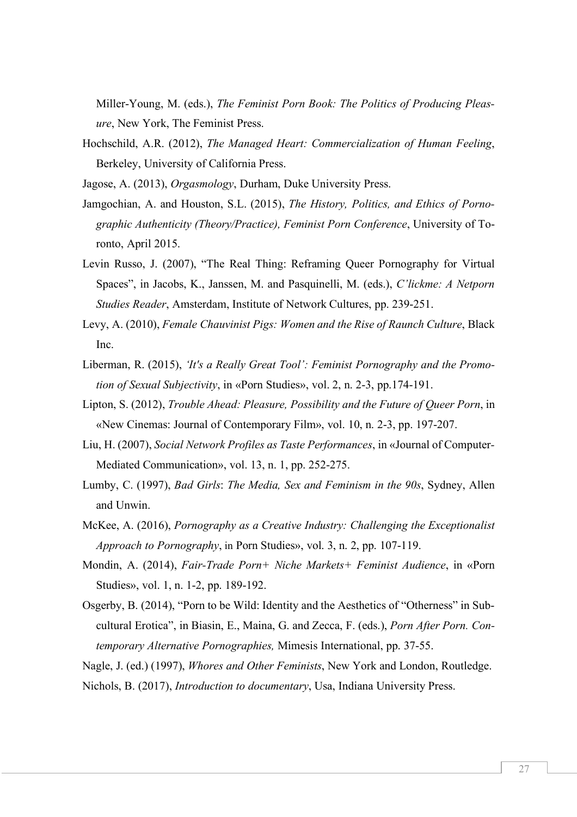Miller-Young, M. (eds.), *The Feminist Porn Book: The Politics of Producing Pleasure*, New York, The Feminist Press.

- Hochschild, A.R. (2012), *The Managed Heart: Commercialization of Human Feeling*, Berkeley, University of California Press.
- Jagose, A. (2013), *Orgasmology*, Durham, Duke University Press.
- Jamgochian, A. and Houston, S.L. (2015), *The History, Politics, and Ethics of Pornographic Authenticity (Theory/Practice), Feminist Porn Conference*, University of Toronto, April 2015.
- Levin Russo, J. (2007), "The Real Thing: Reframing Queer Pornography for Virtual Spaces", in Jacobs, K., Janssen, M. and Pasquinelli, M. (eds.), *C'lickme: A Netporn Studies Reader*, Amsterdam, Institute of Network Cultures, pp. 239-251.
- Levy, A. (2010), *Female Chauvinist Pigs: Women and the Rise of Raunch Culture*, Black Inc.
- Liberman, R. (2015), *'It's a Really Great Tool': Feminist Pornography and the Promotion of Sexual Subjectivity*, in «Porn Studies», vol. 2, n. 2-3, pp.174-191.
- Lipton, S. (2012), *Trouble Ahead: Pleasure, Possibility and the Future of Queer Porn*, in «New Cinemas: Journal of Contemporary Film», vol. 10, n. 2-3, pp. 197-207.
- Liu, H. (2007), *Social Network Profiles as Taste Performances*, in «Journal of Computer*-*Mediated Communication», vol. 13, n. 1, pp. 252-275.
- Lumby, C. (1997), *Bad Girls*: *The Media, Sex and Feminism in the 90s*, Sydney, Allen and Unwin.
- McKee, A. (2016), *Pornography as a Creative Industry: Challenging the Exceptionalist Approach to Pornography*, in Porn Studies», vol. 3, n. 2, pp. 107-119.
- Mondin, A. (2014), *Fair-Trade Porn+ Niche Markets+ Feminist Audience*, in «Porn Studies», vol. 1, n. 1-2, pp. 189-192.
- Osgerby, B. (2014), "Porn to be Wild: Identity and the Aesthetics of "Otherness" in Subcultural Erotica", in Biasin, E., Maina, G. and Zecca, F. (eds.), *Porn After Porn. Contemporary Alternative Pornographies,* Mimesis International, pp. 37-55.
- Nagle, J. (ed.) (1997), *Whores and Other Feminists*, New York and London, Routledge.
- Nichols, B. (2017), *Introduction to documentary*, Usa, Indiana University Press.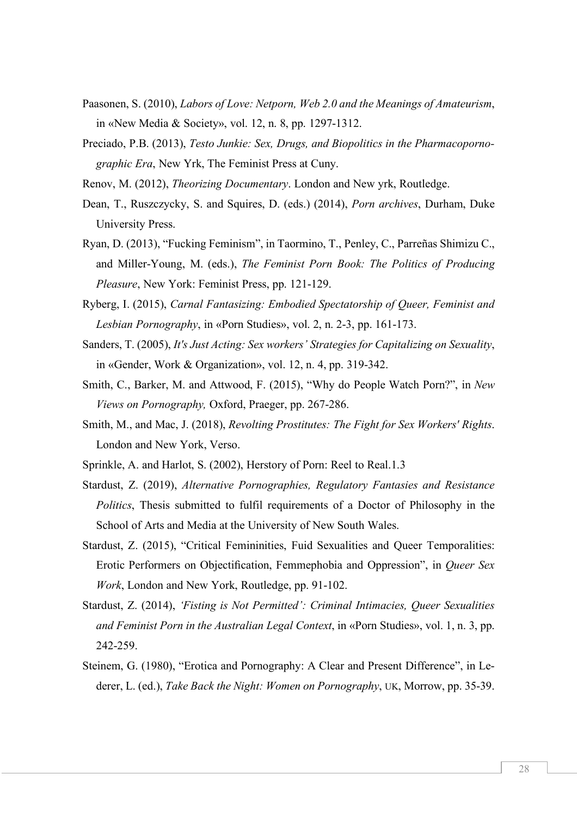- Paasonen, S. (2010), *Labors of Love: Netporn, Web 2.0 and the Meanings of Amateurism*, in «New Media & Society», vol. 12, n. 8, pp. 1297-1312.
- Preciado, P.B. (2013), *Testo Junkie: Sex, Drugs, and Biopolitics in the Pharmacopornographic Era*, New Yrk, The Feminist Press at Cuny.
- Renov, M. (2012), *Theorizing Documentary*. London and New yrk, Routledge.
- Dean, T., Ruszczycky, S. and Squires, D. (eds.) (2014), *Porn archives*, Durham, Duke University Press.
- Ryan, D. (2013), "Fucking Feminism", in Taormino, T., Penley, C., Parreñas Shimizu C., and Miller-Young, M. (eds.), *The Feminist Porn Book: The Politics of Producing Pleasure*, New York: Feminist Press, pp. 121-129.
- Ryberg, I. (2015), *Carnal Fantasizing: Embodied Spectatorship of Queer, Feminist and Lesbian Pornography*, in «Porn Studies», vol. 2, n. 2-3, pp. 161-173.
- Sanders, T. (2005), *It's Just Acting: Sex workers' Strategies for Capitalizing on Sexuality*, in «Gender, Work & Organization», vol. 12, n. 4, pp. 319-342.
- Smith, C., Barker, M. and Attwood, F. (2015), "Why do People Watch Porn?", in *New Views on Pornography,* Oxford, Praeger, pp. 267-286.
- Smith, M., and Mac, J. (2018), *Revolting Prostitutes: The Fight for Sex Workers' Rights*. London and New York, Verso.
- Sprinkle, A. and Harlot, S. (2002), Herstory of Porn: Reel to Real.1.3
- Stardust, Z. (2019), *Alternative Pornographies, Regulatory Fantasies and Resistance Politics*, Thesis submitted to fulfil requirements of a Doctor of Philosophy in the School of Arts and Media at the University of New South Wales.
- Stardust, Z. (2015), "Critical Femininities, Fuid Sexualities and Queer Temporalities: Erotic Performers on Objectification, Femmephobia and Oppression", in *Queer Sex Work*, London and New York, Routledge, pp. 91-102.
- Stardust, Z. (2014), *'Fisting is Not Permitted': Criminal Intimacies, Queer Sexualities and Feminist Porn in the Australian Legal Context*, in «Porn Studies», vol. 1, n. 3, pp. 242-259.
- Steinem, G. (1980), "Erotica and Pornography: A Clear and Present Difference", in Lederer, L. (ed.), *Take Back the Night: Women on Pornography*, UK, Morrow, pp. 35-39.